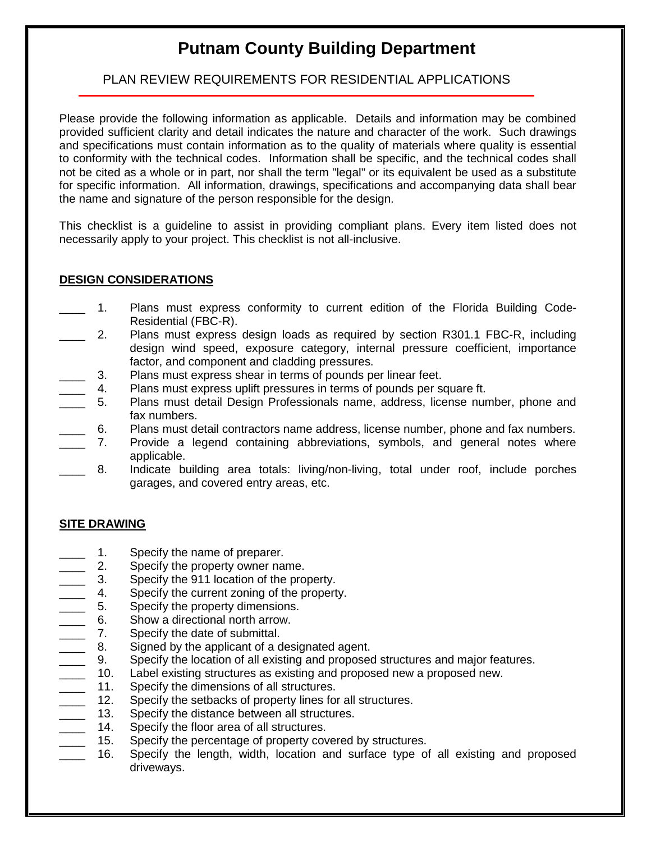# **Putnam County Building Department**

# PLAN REVIEW REQUIREMENTS FOR RESIDENTIAL APPLICATIONS

Please provide the following information as applicable. Details and information may be combined provided sufficient clarity and detail indicates the nature and character of the work. Such drawings and specifications must contain information as to the quality of materials where quality is essential to conformity with the technical codes. Information shall be specific, and the technical codes shall not be cited as a whole or in part, nor shall the term "legal" or its equivalent be used as a substitute for specific information. All information, drawings, specifications and accompanying data shall bear the name and signature of the person responsible for the design.

This checklist is a guideline to assist in providing compliant plans. Every item listed does not necessarily apply to your project. This checklist is not all-inclusive.

### **DESIGN CONSIDERATIONS**

- 1. Plans must express conformity to current edition of the Florida Building Code-Residential (FBC-R).
- 2. Plans must express design loads as required by section R301.1 FBC-R, including design wind speed, exposure category, internal pressure coefficient, importance factor, and component and cladding pressures.
- 3. Plans must express shear in terms of pounds per linear feet.
- 4. Plans must express uplift pressures in terms of pounds per square ft.
- \_\_\_\_ 5. Plans must detail Design Professionals name, address, license number, phone and fax numbers.
- \_\_\_\_ 6. Plans must detail contractors name address, license number, phone and fax numbers.
- \_\_\_\_ 7. Provide a legend containing abbreviations, symbols, and general notes where applicable.
	- \_\_\_\_ 8. Indicate building area totals: living/non-living, total under roof, include porches garages, and covered entry areas, etc.

#### **SITE DRAWING**

- 1. Specify the name of preparer.
- 2. Specify the property owner name.
- 3. Specify the 911 location of the property.
- 4. Specify the current zoning of the property.
- 5. Specify the property dimensions.
- 6. Show a directional north arrow.
- **2.** 7. Specify the date of submittal.
- 8. Signed by the applicant of a designated agent.
- 9. Specify the location of all existing and proposed structures and major features.<br>10. Label existing structures as existing and proposed new a proposed new.
- Label existing structures as existing and proposed new a proposed new.
- 
- 11. Specify the dimensions of all structures.<br>12. Specify the setbacks of property lines for Specify the setbacks of property lines for all structures.
- 13. Specify the distance between all structures.
- 14. Specify the floor area of all structures.<br>15. Specify the percentage of property cov
- Specify the percentage of property covered by structures.
- 16. Specify the length, width, location and surface type of all existing and proposed driveways.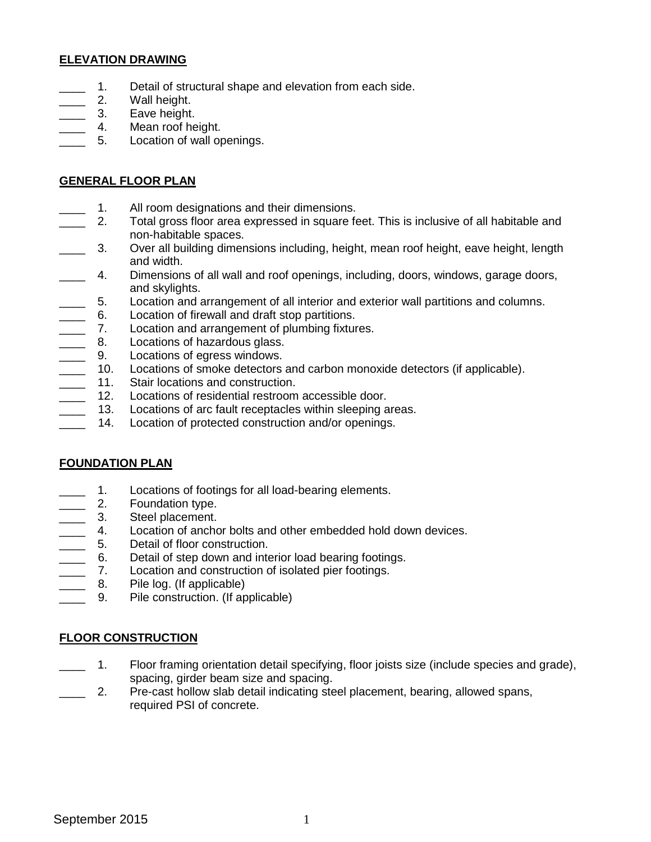### **ELEVATION DRAWING**

- 1. Detail of structural shape and elevation from each side.
- 2. Wall height.
- 3. Eave height.
- 4. Mean roof height.
- 5. Location of wall openings.

### **GENERAL FLOOR PLAN**

- 1. All room designations and their dimensions.
- \_\_\_\_ 2. Total gross floor area expressed in square feet. This is inclusive of all habitable and non-habitable spaces.
- \_\_\_\_ 3. Over all building dimensions including, height, mean roof height, eave height, length and width.
- \_\_\_\_ 4. Dimensions of all wall and roof openings, including, doors, windows, garage doors, and skylights.
- \_\_\_\_ 5. Location and arrangement of all interior and exterior wall partitions and columns.
- \_\_\_\_ 6. Location of firewall and draft stop partitions.
- **2008** T. Location and arrangement of plumbing fixtures.
- **EXECUTE:** 8. Locations of hazardous glass.
- 
- ercompose 19. Locations of egress windows.<br>
10. Locations of smoke detectors 10. Locations of smoke detectors and carbon monoxide detectors (if applicable).<br>11. Stair locations and construction.
- 11. Stair locations and construction.
- \_\_\_\_ 12. Locations of residential restroom accessible door.
- $\overline{\phantom{a}}$ 13. Locations of arc fault receptacles within sleeping areas.
- $\overline{\phantom{a}}$ 14. Location of protected construction and/or openings.

## **FOUNDATION PLAN**

- 1. Locations of footings for all load-bearing elements.
- 2. Foundation type.
- 
- 3. Steel placement.<br>4. Location of ancho 4. Location of anchor bolts and other embedded hold down devices.<br>
5. Detail of floor construction.<br>
6. Detail of step down and interior load bearing footings.
- Detail of floor construction.
- Detail of step down and interior load bearing footings.
- **2008** 7. Location and construction of isolated pier footings.
- **2008.** Pile log. (If applicable)
- **2008** 9. Pile construction. (If applicable)

## **FLOOR CONSTRUCTION**

- 1. Floor framing orientation detail specifying, floor joists size (include species and grade), spacing, girder beam size and spacing.
- \_\_\_\_ 2. Pre-cast hollow slab detail indicating steel placement, bearing, allowed spans, required PSI of concrete.